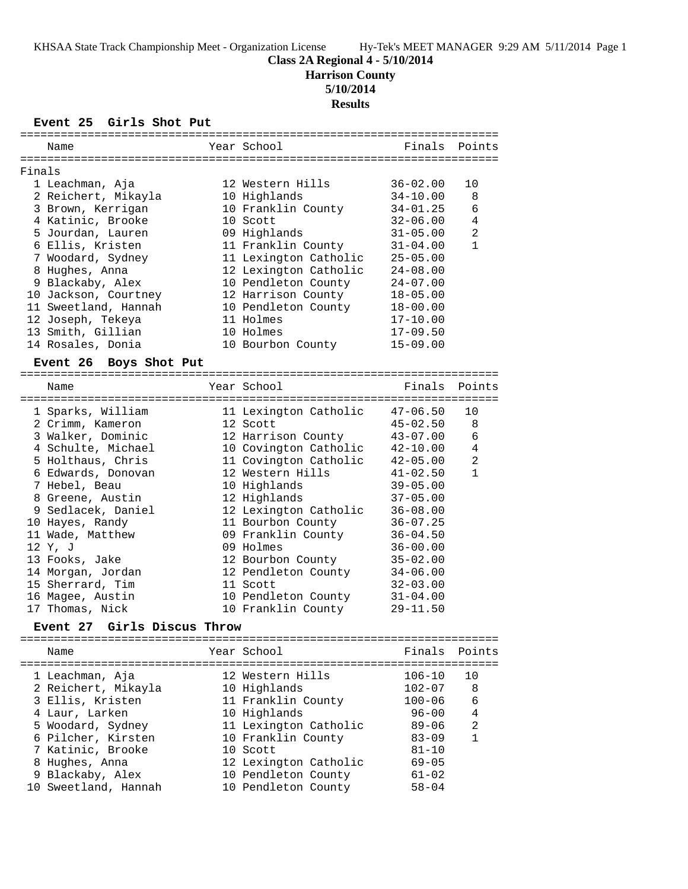**Class 2A Regional 4 - 5/10/2014**

**Harrison County**

**5/10/2014**

**Results**

**Event 25 Girls Shot Put**

|        | ===========                           |                         |              |                |
|--------|---------------------------------------|-------------------------|--------------|----------------|
|        | Name                                  | Year School             | Finals       | Points         |
|        |                                       |                         |              |                |
| Finals |                                       |                         |              |                |
|        | 1 Leachman, Aja                       | 12 Western Hills        | $36 - 02.00$ | 10             |
|        | 2 Reichert, Mikayla                   | 10 Highlands            | $34 - 10.00$ | 8              |
|        | 3 Brown, Kerrigan                     | 10 Franklin County      | $34 - 01.25$ | 6              |
|        | 4 Katinic, Brooke                     | 10 Scott                | $32 - 06.00$ | 4              |
|        | 5 Jourdan, Lauren                     | 09 Highlands            | $31 - 05.00$ | $\overline{a}$ |
|        | 6 Ellis, Kristen                      | 11 Franklin County      | $31 - 04.00$ | $\mathbf{1}$   |
|        | 7 Woodard, Sydney                     | 11 Lexington Catholic   | $25 - 05.00$ |                |
|        | 8 Hughes, Anna                        | 12 Lexington Catholic   | $24 - 08.00$ |                |
|        | 9 Blackaby, Alex                      | 10 Pendleton County     | $24 - 07.00$ |                |
|        | 10 Jackson, Courtney                  | 12 Harrison County      | $18 - 05.00$ |                |
|        | 11 Sweetland, Hannah                  | 10 Pendleton County     | 18-00.00     |                |
|        | 12 Joseph, Tekeya                     | 11 Holmes               | $17 - 10.00$ |                |
|        | 13 Smith, Gillian                     | 10 Holmes               | $17 - 09.50$ |                |
|        | 14 Rosales, Donia                     | 10 Bourbon County       | $15 - 09.00$ |                |
|        | Boys Shot Put<br><b>Event 26</b>      |                         |              |                |
|        | Name                                  | Year School             | Finals       | Points         |
|        |                                       |                         |              |                |
|        | 1 Sparks, William                     | 11 Lexington Catholic   | $47 - 06.50$ | 10             |
|        | 2 Crimm, Kameron                      | 12 Scott                | $45 - 02.50$ | 8              |
|        | 3 Walker, Dominic                     | 12 Harrison County      | $43 - 07.00$ | 6              |
|        | 4 Schulte, Michael                    | 10 Covington Catholic   | $42 - 10.00$ | 4              |
|        | 5 Holthaus, Chris                     | 11 Covington Catholic   | $42 - 05.00$ | 2              |
|        | 6 Edwards, Donovan                    | 12 Western Hills        | $41 - 02.50$ | $\mathbf{1}$   |
|        | 7 Hebel, Beau                         | 10 Highlands            | $39 - 05.00$ |                |
|        | 8 Greene, Austin                      | 12 Highlands            | $37 - 05.00$ |                |
|        | 9 Sedlacek, Daniel                    | 12 Lexington Catholic   | $36 - 08.00$ |                |
|        | 10 Hayes, Randy                       | 11 Bourbon County       | $36 - 07.25$ |                |
|        | 11 Wade, Matthew                      | 09 Franklin County      | $36 - 04.50$ |                |
|        | 12 Y, J                               | 09 Holmes               | $36 - 00.00$ |                |
|        | 13 Fooks, Jake                        | 12 Bourbon County       | $35 - 02.00$ |                |
|        | 14 Morgan, Jordan                     | 12 Pendleton County     | $34 - 06.00$ |                |
|        | 15 Sherrard, Tim                      | 11 Scott                | $32 - 03.00$ |                |
|        | 16 Magee, Austin                      | 10 Pendleton County     | $31 - 04.00$ |                |
|        | 17 Thomas, Nick                       | 10 Franklin County      | $29 - 11.50$ |                |
|        | Event 27 Girls Discus Throw           |                         |              |                |
|        | Name                                  | Year School             | Finals       | Points         |
|        | ===================================== | ======================= |              |                |
|        | 1 Leachman, Aja                       | 12 Western Hills        | $106 - 10$   | 10             |
|        | 2 Reichert, Mikayla                   | 10 Highlands            | $102 - 07$   | 8              |
|        | 3 Ellis, Kristen                      | 11 Franklin County      | $100 - 06$   | 6              |
|        | 4 Laur, Larken                        | 10 Highlands            | $96 - 00$    | 4              |
|        | 5 Woodard, Sydney                     | 11 Lexington Catholic   | $89 - 06$    | 2              |
|        | 6 Pilcher, Kirsten                    | 10 Franklin County      | $83 - 09$    | 1              |
|        | 7 Katinic, Brooke                     | 10 Scott                | $81 - 10$    |                |
|        | 8 Hughes, Anna                        | 12 Lexington Catholic   | $69 - 05$    |                |
|        | 9 Blackaby, Alex                      | 10 Pendleton County     | $61 - 02$    |                |

10 Sweetland, Hannah 10 Pendleton County 58-04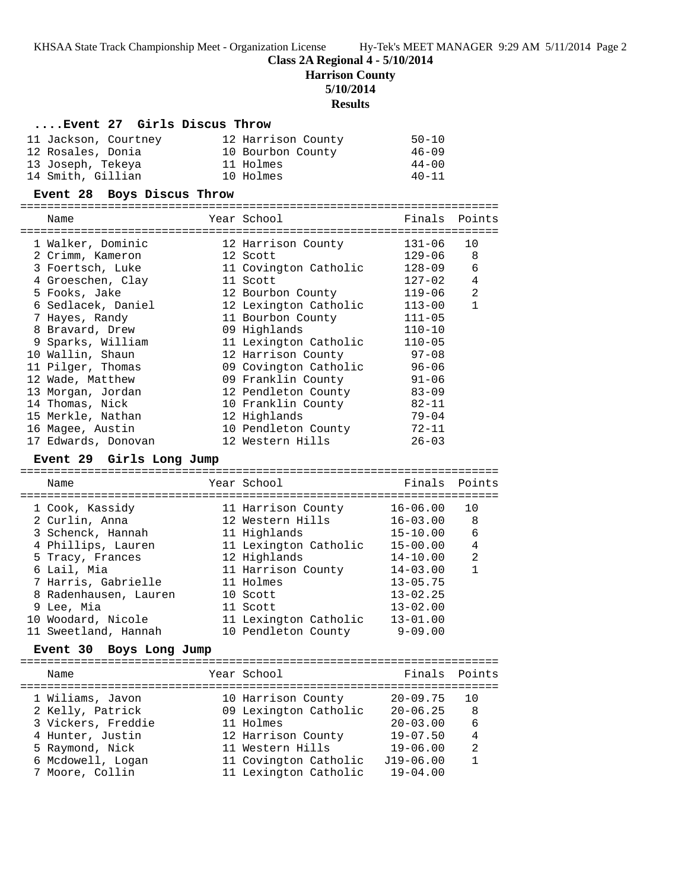KHSAA State Track Championship Meet - Organization License Hy-Tek's MEET MANAGER 9:29 AM 5/11/2014 Page 2

### **Class 2A Regional 4 - 5/10/2014**

**Harrison County**

**5/10/2014**

**Results**

#### **....Event 27 Girls Discus Throw**

| 11 Jackson, Courtney | 12 Harrison County | $50 - 10$ |
|----------------------|--------------------|-----------|
| 12 Rosales, Donia    | 10 Bourbon County  | $46 - 09$ |
| 13 Joseph, Tekeya    | 11 Holmes          | $44 - 00$ |
| 14 Smith, Gillian    | 10 Holmes          | $40 - 11$ |

#### **Event 28 Boys Discus Throw**

| Name                | Year School           | Finals Points |                |
|---------------------|-----------------------|---------------|----------------|
| 1 Walker, Dominic   | 12 Harrison County    | 131-06        | 10             |
| 2 Crimm, Kameron    | 12 Scott              | 129-06        | 8              |
| 3 Foertsch, Luke    | 11 Covington Catholic | $128 - 09$    | 6              |
| 4 Groeschen, Clay   | 11 Scott              | $127 - 02$    | 4              |
| 5 Fooks, Jake       | 12 Bourbon County     | 119-06        | $\mathfrak{D}$ |
| 6 Sedlacek, Daniel  | 12 Lexington Catholic | $113 - 00$    | 1              |
| 7 Hayes, Randy      | 11 Bourbon County     | $111 - 05$    |                |
| 8 Bravard, Drew     | 09 Highlands          | $110 - 10$    |                |
| 9 Sparks, William   | 11 Lexington Catholic | $110 - 05$    |                |
| 10 Wallin, Shaun    | 12 Harrison County    | $97 - 08$     |                |
| 11 Pilger, Thomas   | 09 Covington Catholic | $96 - 06$     |                |
| 12 Wade, Matthew    | 09 Franklin County    | $91 - 06$     |                |
| 13 Morgan, Jordan   | 12 Pendleton County   | $83 - 09$     |                |
| 14 Thomas, Nick     | 10 Franklin County    | $82 - 11$     |                |
| 15 Merkle, Nathan   | 12 Highlands          | $79 - 04$     |                |
| 16 Magee, Austin    | 10 Pendleton County   | $72 - 11$     |                |
| 17 Edwards, Donovan | 12 Western Hills      | $26 - 03$     |                |
|                     |                       |               |                |

#### **Event 29 Girls Long Jump**

======================================================================= Name Year School Finals Points ======================================================================= 1 Cook, Kassidy 11 Harrison County 16-06.00 10 2 Curlin, Anna 12 Western Hills 16-03.00 8 3 Schenck, Hannah 11 Highlands 15-10.00 6 4 Phillips, Lauren 11 Lexington Catholic 15-00.00 4 5 Tracy, Frances 12 Highlands 14-10.00 2 6 Lail, Mia 11 Harrison County 14-03.00 1 7 Harris, Gabrielle 11 Holmes 13-05.75 8 Radenhausen, Lauren 10 Scott 13-02.25 9 Lee, Mia 11 Scott 13-02.00 10 Woodard, Nicole 11 Lexington Catholic 13-01.00 11 Sweetland, Hannah 10 Pendleton County 9-09.00

### **Event 30 Boys Long Jump**

======================================================================= Name The Year School The Finals Points ======================================================================= 1 Wiliams, Javon 10 Harrison County 20-09.75 10 2 Kelly, Patrick 09 Lexington Catholic 20-06.25 8 3 Vickers, Freddie 11 Holmes 20-03.00 6 4 Hunter, Justin 12 Harrison County 19-07.50 4 5 Raymond, Nick 11 Western Hills 19-06.00 2 6 Mcdowell, Logan 11 Covington Catholic J19-06.00 1 7 Moore, Collin 11 Lexington Catholic 19-04.00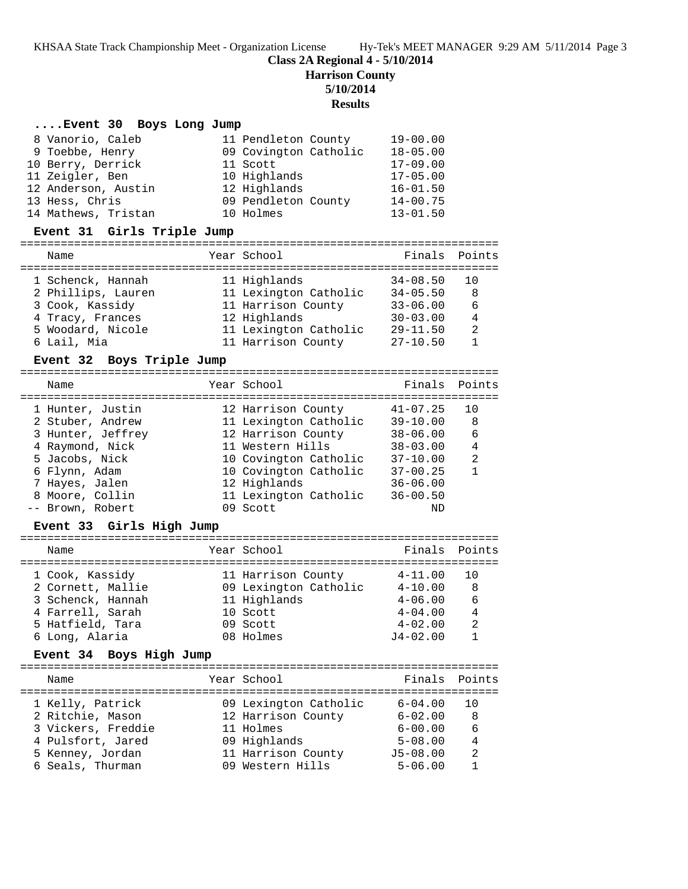KHSAA State Track Championship Meet - Organization License Hy-Tek's MEET MANAGER 9:29 AM 5/11/2014 Page 3

**Class 2A Regional 4 - 5/10/2014**

**Harrison County**

**5/10/2014**

# **Results**

## **....Event 30 Boys Long Jump**

| 8 Vanorio, Caleb    | 11 Pendleton County   | $19 - 00.00$ |
|---------------------|-----------------------|--------------|
| 9 Toebbe, Henry     | 09 Covington Catholic | $18 - 05.00$ |
| 10 Berry, Derrick   | 11 Scott              | $17 - 09.00$ |
| 11 Zeigler, Ben     | 10 Highlands          | $17 - 05.00$ |
| 12 Anderson, Austin | 12 Highlands          | $16 - 01.50$ |
| 13 Hess, Chris      | 09 Pendleton County   | $14 - 00.75$ |
| 14 Mathews, Tristan | 10 Holmes             | $13 - 01.50$ |

### **Event 31 Girls Triple Jump**

#### ======================================================================= Finals Doints

| <b>Natue</b>       | ICAL SCIRCL           |              | PINGIS PUINLS  |
|--------------------|-----------------------|--------------|----------------|
| 1 Schenck, Hannah  | 11 Highlands          | $34 - 08.50$ | <u>າດ</u>      |
| 2 Phillips, Lauren | 11 Lexington Catholic | $34 - 05.50$ | 8              |
| 3 Cook, Kassidy    | 11 Harrison County    | $33 - 06.00$ | 6              |
| 4 Tracy, Frances   | 12 Highlands          | $30 - 03.00$ | $\overline{4}$ |
| 5 Woodard, Nicole  | 11 Lexington Catholic | $29 - 11.50$ | 2              |
| 6 Lail, Mia        | 11 Harrison County    | $27 - 10.50$ |                |
|                    |                       |              |                |

## **Event 32 Boys Triple Jump**

| Name              | Year School           | Finals Points |                |
|-------------------|-----------------------|---------------|----------------|
| 1 Hunter, Justin  | 12 Harrison County    | $41 - 07.25$  | 10             |
| 2 Stuber, Andrew  | 11 Lexington Catholic | $39 - 10.00$  | -8             |
| 3 Hunter, Jeffrey | 12 Harrison County    | $38 - 06.00$  | 6              |
| 4 Raymond, Nick   | 11 Western Hills      | $38 - 03.00$  | $\overline{4}$ |
| 5 Jacobs, Nick    | 10 Covington Catholic | $37 - 10.00$  | $\mathfrak{D}$ |
| 6 Flynn, Adam     | 10 Covington Catholic | $37 - 00.25$  | $\mathbf{1}$   |
| 7 Hayes, Jalen    | 12 Highlands          | $36 - 06.00$  |                |
| 8 Moore, Collin   | 11 Lexington Catholic | $36 - 00.50$  |                |
| -- Brown, Robert  | 09 Scott              | ND            |                |

## **Event 33 Girls High Jump**

| Name              | Year School           | Finals Points |                |
|-------------------|-----------------------|---------------|----------------|
| 1 Cook, Kassidy   | 11 Harrison County    | $4 - 11.00$   | 1 N            |
| 2 Cornett, Mallie | 09 Lexington Catholic | $4 - 10.00$   | -8             |
| 3 Schenck, Hannah | 11 Highlands          | $4 - 06.00$   | 6              |
| 4 Farrell, Sarah  | 10 Scott              | $4 - 04.00$   | $\overline{4}$ |
| 5 Hatfield, Tara  | 09 Scott              | $4 - 02.00$   | 2              |
| 6 Long, Alaria    | 08 Holmes             | $J4 - 02.00$  |                |

### **Event 34 Boys High Jump**

| Finals Points<br>Year School<br>Name<br>09 Lexington Catholic<br>1 Kelly, Patrick<br>$6 - 04.00$<br>ີ 1 N<br>2 Ritchie, Mason<br>12 Harrison County<br>$6 - 02.00$<br>8<br>3 Vickers, Freddie<br>6<br>11 Holmes<br>$6 - 00.00$<br>09 Highlands<br>4 Pulsfort, Jared<br>4<br>$5 - 08.00$<br>11 Harrison County<br>$J5 - 08.00$<br>2<br>5 Kenney, Jordan<br>09 Western Hills<br>6 Seals, Thurman<br>$5 - 06.00$ |  |  |  |
|---------------------------------------------------------------------------------------------------------------------------------------------------------------------------------------------------------------------------------------------------------------------------------------------------------------------------------------------------------------------------------------------------------------|--|--|--|
|                                                                                                                                                                                                                                                                                                                                                                                                               |  |  |  |
|                                                                                                                                                                                                                                                                                                                                                                                                               |  |  |  |
|                                                                                                                                                                                                                                                                                                                                                                                                               |  |  |  |